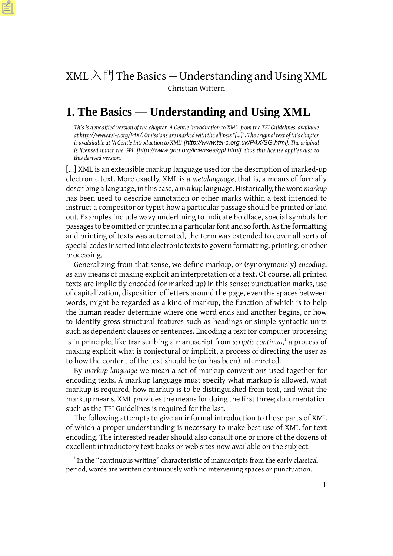# XML  $\lambda$  <sup>FI</sup> The Basics – Understanding and Using XML Christian Wittern

# **1. The Basics — Understanding and Using XML**

*This is a modified version of the chapter 'A Gentle Introduction to XML' from the TEI Guidelines, available at http://www.tei-c.org/P4X/. Omissions are marked with the ellipsis "[...]". The original text of this chapter is avalailable at ['A Gentle Introduction to XML'](http://www.tei-c.org/P4X/SG.html) [http://www.tei-c.org.uk/P4X/SG.html]. The original is licensed under the [GPL](http://www.gnu.org/licenses/gpl.html) [http://www.gnu.org/licenses/gpl.html], thus this license applies also to this derived version.*

[...] XML is an extensible markup language used for the description of marked-up electronic text. More exactly, XML is a *metalanguage*, that is, a means of formally describing a language, in this case, a *markup* language. Historically, the word *markup* has been used to describe annotation or other marks within a text intended to instruct a compositor or typist how a particular passage should be printed or laid out. Examples include wavy underlining to indicate boldface, special symbols for passages to be omitted or printed in a particular font and so forth. As the formatting and printing of texts was automated, the term was extended to cover all sorts of special codes inserted into electronic texts to govern formatting, printing, or other processing.

Generalizing from that sense, we define markup, or (synonymously) *encoding*, as any means of making explicit an interpretation of a text. Of course, all printed texts are implicitly encoded (or marked up) in this sense: punctuation marks, use of capitalization, disposition of letters around the page, even the spaces between words, might be regarded as a kind of markup, the function of which is to help the human reader determine where one word ends and another begins, or how to identify gross structural features such as headings or simple syntactic units such as dependent clauses or sentences. Encoding a text for computer processing is in principle, like transcribing a manuscript from *scriptio continua*, 1 a process of making explicit what is conjectural or implicit, a process of directing the user as to how the content of the text should be (or has been) interpreted.

By *markup language* we mean a set of markup conventions used together for encoding texts. A markup language must specify what markup is allowed, what markup is required, how markup is to be distinguished from text, and what the markup means. XML provides the means for doing the first three; documentation such as the TEI Guidelines is required for the last.

The following attempts to give an informal introduction to those parts of XML of which a proper understanding is necessary to make best use of XML for text encoding. The interested reader should also consult one or more of the dozens of excellent introductory text books or web sites now available on the subject.

<sup>1</sup> In the "continuous writing" characteristic of manuscripts from the early classical period, words are written continuously with no intervening spaces or punctuation.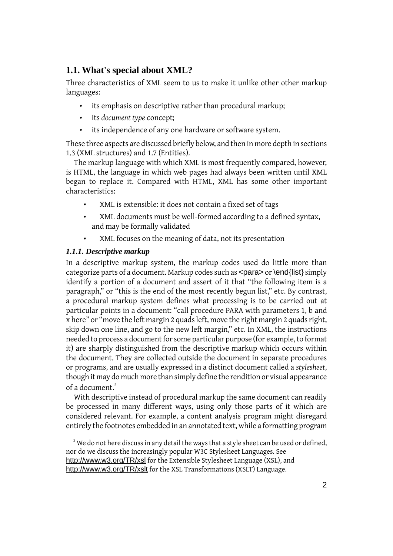# **1.1. What's special about XML?**

Three characteristics of XML seem to us to make it unlike other other markup languages:

- its emphasis on descriptive rather than procedural markup;
- its *document type* concept;
- its independence of any one hardware or software system.

These three aspects are discussed briefly below, and then in more depth in sections [1.3 \(XML structures\)](#page-4-0) and [1.7 \(Entities\)](#page-17-0).

The markup language with which XML is most frequently compared, however, is HTML, the language in which web pages had always been written until XML began to replace it. Compared with HTML, XML has some other important characteristics:

- XML is extensible: it does not contain a fixed set of tags
- XML documents must be well-formed according to a defined syntax, and may be formally validated
- XML focuses on the meaning of data, not its presentation

# *1.1.1. Descriptive markup*

In a descriptive markup system, the markup codes used do little more than categorize parts of a document. Markup codes such as  $\langle$  para> or  $\langle$ end{list} simply identify a portion of a document and assert of it that "the following item is a paragraph," or "this is the end of the most recently begun list," etc. By contrast, a procedural markup system defines what processing is to be carried out at particular points in a document: "call procedure PARA with parameters 1, b and x here" or "move the left margin 2 quads left, move the right margin 2 quads right, skip down one line, and go to the new left margin," etc. In XML, the instructions needed to process a document for some particular purpose (for example, to format it) are sharply distinguished from the descriptive markup which occurs within the document. They are collected outside the document in separate procedures or programs, and are usually expressed in a distinct document called a *stylesheet*, though it may do much more than simply define the rendition or visual appearance of a document.<sup>2</sup>

With descriptive instead of procedural markup the same document can readily be processed in many different ways, using only those parts of it which are considered relevant. For example, a content analysis program might disregard entirely the footnotes embedded in an annotated text, while a formatting program

 $2$  We do not here discuss in any detail the ways that a style sheet can be used or defined, nor do we discuss the increasingly popular W3C Stylesheet Languages. See <http://www.w3.org/TR/xsl> for the Extensible Stylesheet Language (XSL), and <http://www.w3.org/TR/xslt> for the XSL Transformations (XSLT) Language.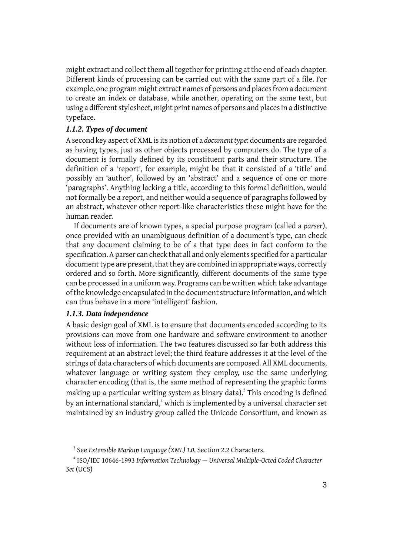might extract and collect them all together for printing at the end of each chapter. Different kinds of processing can be carried out with the same part of a file. For example, one program might extract names of persons and places from a document to create an index or database, while another, operating on the same text, but using a different stylesheet, might print names of persons and places in a distinctive typeface.

### *1.1.2. Types of document*

A second key aspect of XML is its notion of a *document type*: documents are regarded as having types, just as other objects processed by computers do. The type of a document is formally defined by its constituent parts and their structure. The definition of a 'report', for example, might be that it consisted of a 'title' and possibly an 'author', followed by an 'abstract' and a sequence of one or more 'paragraphs'. Anything lacking a title, according to this formal definition, would not formally be a report, and neither would a sequence of paragraphs followed by an abstract, whatever other report-like characteristics these might have for the human reader.

If documents are of known types, a special purpose program (called a *parser*), once provided with an unambiguous definition of a document's type, can check that any document claiming to be of a that type does in fact conform to the specification. A parser can check that all and only elements specified for a particular document type are present, that they are combined in appropriate ways, correctly ordered and so forth. More significantly, different documents of the same type can be processed in a uniform way. Programs can be written which take advantage of the knowledge encapsulated in the document structure information, and which can thus behave in a more 'intelligent' fashion.

### *1.1.3. Data independence*

A basic design goal of XML is to ensure that documents encoded according to its provisions can move from one hardware and software environment to another without loss of information. The two features discussed so far both address this requirement at an abstract level; the third feature addresses it at the level of the strings of data characters of which documents are composed. All XML documents, whatever language or writing system they employ, use the same underlying character encoding (that is, the same method of representing the graphic forms making up a particular writing system as binary data). $^3$  This encoding is defined by an international standard,<sup>4</sup> which is implemented by a universal character set maintained by an industry group called the Unicode Consortium, and known as

<sup>3</sup> See *Extensible Markup Language (XML) 1.0*, Section 2.2 Characters.

<sup>4</sup> ISO/IEC 10646-1993 *Information Technology — Universal Multiple-Octed Coded Character Set* (UCS)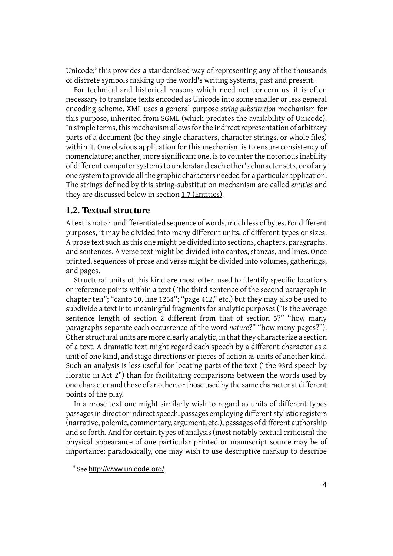Unicode;<sup>5</sup> this provides a standardised way of representing any of the thousands of discrete symbols making up the world's writing systems, past and present.

For technical and historical reasons which need not concern us, it is often necessary to translate texts encoded as Unicode into some smaller or less general encoding scheme. XML uses a general purpose *string substitution* mechanism for this purpose, inherited from SGML (which predates the availability of Unicode). In simple terms, this mechanism allows for the indirect representation of arbitrary parts of a document (be they single characters, character strings, or whole files) within it. One obvious application for this mechanism is to ensure consistency of nomenclature; another, more significant one, is to counter the notorious inability of different computer systems to understand each other's character sets, or of any one system to provide all the graphic characters needed for a particular application. The strings defined by this string-substitution mechanism are called *entities* and they are discussed below in section [1.7 \(Entities\)](#page-17-0).

### **1.2. Textual structure**

A text is not an undifferentiated sequence of words, much less of bytes. For different purposes, it may be divided into many different units, of different types or sizes. A prose text such as this one might be divided into sections, chapters, paragraphs, and sentences. A verse text might be divided into cantos, stanzas, and lines. Once printed, sequences of prose and verse might be divided into volumes, gatherings, and pages.

Structural units of this kind are most often used to identify specific locations or reference points within a text ("the third sentence of the second paragraph in chapter ten"; "canto 10, line 1234"; "page 412," etc.) but they may also be used to subdivide a text into meaningful fragments for analytic purposes ("is the average sentence length of section 2 different from that of section 5?" "how many paragraphs separate each occurrence of the word *nature*?" "how many pages?"). Other structural units are more clearly analytic, in that they characterize a section of a text. A dramatic text might regard each speech by a different character as a unit of one kind, and stage directions or pieces of action as units of another kind. Such an analysis is less useful for locating parts of the text ("the 93rd speech by Horatio in Act 2") than for facilitating comparisons between the words used by one character and those of another, or those used by the same character at different points of the play.

In a prose text one might similarly wish to regard as units of different types passages in direct or indirect speech, passages employing different stylistic registers (narrative, polemic, commentary, argument, etc.), passages of different authorship and so forth. And for certain types of analysis (most notably textual criticism) the physical appearance of one particular printed or manuscript source may be of importance: paradoxically, one may wish to use descriptive markup to describe

<sup>&</sup>lt;sup>5</sup> See <http://www.unicode.org/>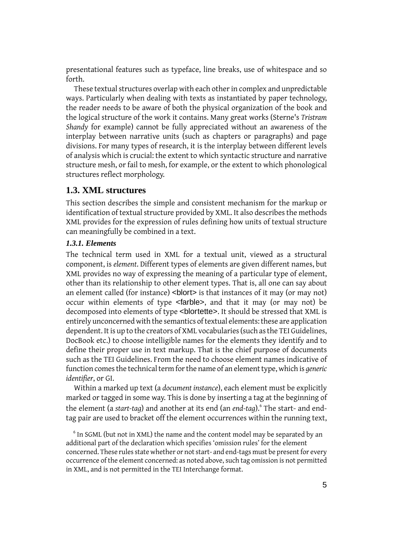presentational features such as typeface, line breaks, use of whitespace and so forth.

These textual structures overlap with each other in complex and unpredictable ways. Particularly when dealing with texts as instantiated by paper technology, the reader needs to be aware of both the physical organization of the book and the logical structure of the work it contains. Many great works (Sterne's *Tristram Shandy* for example) cannot be fully appreciated without an awareness of the interplay between narrative units (such as chapters or paragraphs) and page divisions. For many types of research, it is the interplay between different levels of analysis which is crucial: the extent to which syntactic structure and narrative structure mesh, or fail to mesh, for example, or the extent to which phonological structures reflect morphology.

# <span id="page-4-0"></span>**1.3. XML structures**

This section describes the simple and consistent mechanism for the markup or identification of textual structure provided by XML. It also describes the methods XML provides for the expression of rules defining how units of textual structure can meaningfully be combined in a text.

### *1.3.1. Elements*

The technical term used in XML for a textual unit, viewed as a structural component, is *element*. Different types of elements are given different names, but XML provides no way of expressing the meaning of a particular type of element, other than its relationship to other element types. That is, all one can say about an element called (for instance) <br/>blort> is that instances of it may (or may not) occur within elements of type <farble>, and that it may (or may not) be decomposed into elements of type <blortette>. It should be stressed that XML is entirely unconcerned with the semantics of textual elements: these are application dependent. It is up to the creators of XML vocabularies (such as the TEI Guidelines, DocBook etc.) to choose intelligible names for the elements they identify and to define their proper use in text markup. That is the chief purpose of documents such as the TEI Guidelines. From the need to choose element names indicative of function comes the technical term for the name of an element type, which is *generic identifier*, or GI.

Within a marked up text (a *document instance*), each element must be explicitly marked or tagged in some way. This is done by inserting a tag at the beginning of the element (a *start-tag*) and another at its end (an *end-tag*).<sup>6</sup> The start- and endtag pair are used to bracket off the element occurrences within the running text,

<sup>6</sup> In SGML (but not in XML) the name and the content model may be separated by an additional part of the declaration which specifies 'omission rules' for the element concerned. These rules state whether or not start- and end-tags must be present for every occurrence of the element concerned: as noted above, such tag omission is not permitted in XML, and is not permitted in the TEI Interchange format.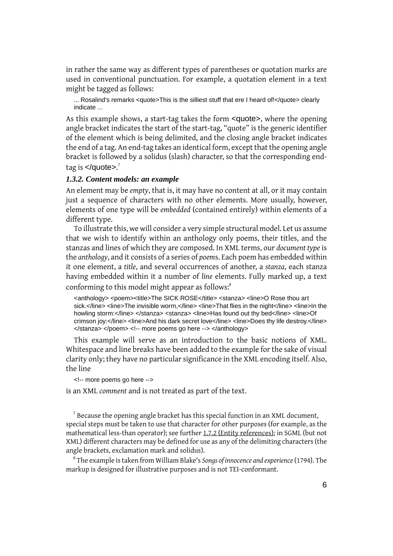in rather the same way as different types of parentheses or quotation marks are used in conventional punctuation. For example, a quotation element in a text might be tagged as follows:

... Rosalind's remarks <quote>This is the silliest stuff that ere I heard of!</quote> clearly indicate ...

As this example shows, a start-tag takes the form <quote>, where the opening angle bracket indicates the start of the start-tag, "quote" is the generic identifier of the element which is being delimited, and the closing angle bracket indicates the end of a tag. An end-tag takes an identical form, except that the opening angle bracket is followed by a solidus (slash) character, so that the corresponding endtag is </quote>.<sup>7</sup>

### *1.3.2. Content models: an example*

An element may be *empty*, that is, it may have no content at all, or it may contain just a sequence of characters with no other elements. More usually, however, elements of one type will be *embedded* (contained entirely) within elements of a different type.

To illustrate this, we will consider a very simple structural model. Let us assume that we wish to identify within an anthology only poems, their titles, and the stanzas and lines of which they are composed. In XML terms, our *document type* is the *anthology*, and it consists of a series of *poem*s. Each poem has embedded within it one element, a *title*, and several occurrences of another, a *stanza*, each stanza having embedded within it a number of *line* elements. Fully marked up, a text conforming to this model might appear as follows:<sup>8</sup>

<anthology> <poem><title>The SICK ROSE</title> <stanza> <line>O Rose thou art sick.</line> <line>The invisible worm,</line> <line>That flies in the night</line> <line>In the howling storm:</line> </stanza> <stanza> <line>Has found out thy bed</line> <line>Of crimson joy:</line> <line>And his dark secret love</line> <line>Does thy life destroy.</line> </stanza> </poem> <!-- more poems go here --> </anthology>

This example will serve as an introduction to the basic notions of XML. Whitespace and line breaks have been added to the example for the sake of visual clarity only; they have no particular significance in the XML encoding itself. Also, the line

<!-- more poems go here -->

is an XML *comment* and is not treated as part of the text.

 $^7$  Because the opening angle bracket has this special function in an XML document, special steps must be taken to use that character for other purposes (for example, as the mathematical less-than operator); see further [1.7.2 \(Entity references\);](#page-19-0) in SGML (but not XML) different characters may be defined for use as any of the delimiting characters (the angle brackets, exclamation mark and solidus).

8 The example is taken from William Blake's *Songs of innocence and experience*(1794). The markup is designed for illustrative purposes and is not TEI-conformant.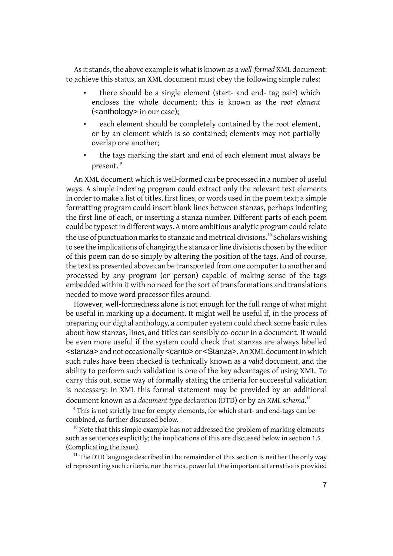As it stands, the above example is what is known as a *well-formed* XML document: to achieve this status, an XML document must obey the following simple rules:

- there should be a single element (start- and end- tag pair) which encloses the whole document: this is known as the *root element* (<anthology> in our case);
- each element should be completely contained by the root element, or by an element which is so contained; elements may not partially overlap one another;
- the tags marking the start and end of each element must always be present.<sup>9</sup>

An XML document which is well-formed can be processed in a number of useful ways. A simple indexing program could extract only the relevant text elements in order to make a list of titles, first lines, or words used in the poem text; a simple formatting program could insert blank lines between stanzas, perhaps indenting the first line of each, or inserting a stanza number. Different parts of each poem could be typeset in different ways. A more ambitious analytic program could relate the use of punctuation marks to stanzaic and metrical divisions.<sup>10</sup> Scholars wishing to see the implications of changing the stanza or line divisions chosen by the editor of this poem can do so simply by altering the position of the tags. And of course, the text as presented above can be transported from one computer to another and processed by any program (or person) capable of making sense of the tags embedded within it with no need for the sort of transformations and translations needed to move word processor files around.

However, well-formedness alone is not enough for the full range of what might be useful in marking up a document. It might well be useful if, in the process of preparing our digital anthology, a computer system could check some basic rules about how stanzas, lines, and titles can sensibly co-occur in a document. It would be even more useful if the system could check that stanzas are always labelled <stanza> and not occasionally <canto> or <Stanza>. An XML document in which such rules have been checked is technically known as a *valid* document, and the ability to perform such validation is one of the key advantages of using XML. To carry this out, some way of formally stating the criteria for successful validation is necessary: in XML this formal statement may be provided by an additional document known as a *document type declaration* (DTD) or by an *XML schema*. 11

<sup>9</sup> This is not strictly true for empty elements, for which start- and end-tags can be combined, as further discussed below.

<sup>10</sup> Note that this simple example has not addressed the problem of marking elements such as sentences explicitly; the implications of this are discussed below in section [1.5](#page-11-0) [\(Complicating the issue\)](#page-11-0).

 $11$ <sup>11</sup> The DTD language described in the remainder of this section is neither the only way of representing such criteria, nor the most powerful. One important alternative is provided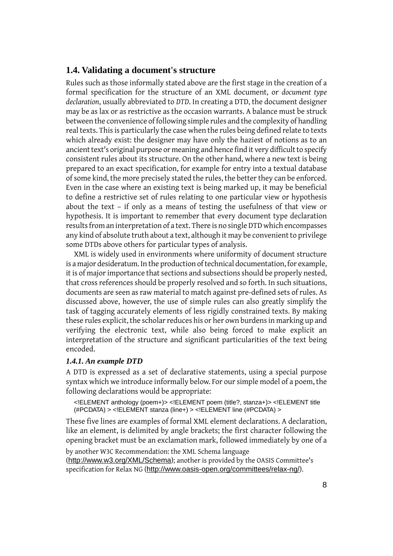# **1.4. Validating a document's structure**

Rules such as those informally stated above are the first stage in the creation of a formal specification for the structure of an XML document, or *document type declaration*, usually abbreviated to *DTD*. In creating a DTD, the document designer may be as lax or as restrictive as the occasion warrants. A balance must be struck between the convenience of following simple rules and the complexity of handling real texts. This is particularly the case when the rules being defined relate to texts which already exist: the designer may have only the haziest of notions as to an ancient text's original purpose or meaning and hence find it very difficult to specify consistent rules about its structure. On the other hand, where a new text is being prepared to an exact specification, for example for entry into a textual database of some kind, the more precisely stated the rules, the better they can be enforced. Even in the case where an existing text is being marked up, it may be beneficial to define a restrictive set of rules relating to one particular view or hypothesis about the text – if only as a means of testing the usefulness of that view or hypothesis. It is important to remember that every document type declaration results from an interpretation of a text. There is no single DTD which encompasses any kind of absolute truth about a text, although it may be convenient to privilege some DTDs above others for particular types of analysis.

XML is widely used in environments where uniformity of document structure is a major desideratum. In the production of technical documentation, for example, it is of major importance that sections and subsections should be properly nested, that cross references should be properly resolved and so forth. In such situations, documents are seen as raw material to match against pre-defined sets of rules. As discussed above, however, the use of simple rules can also greatly simplify the task of tagging accurately elements of less rigidly constrained texts. By making these rules explicit, the scholar reduces his or her own burdens in marking up and verifying the electronic text, while also being forced to make explicit an interpretation of the structure and significant particularities of the text being encoded.

### *1.4.1. An example DTD*

A DTD is expressed as a set of declarative statements, using a special purpose syntax which we introduce informally below. For our simple model of a poem, the following declarations would be appropriate:

```
<!ELEMENT anthology (poem+)> <!ELEMENT poem (title?, stanza+)> <!ELEMENT title
(#PCDATA) > <!ELEMENT stanza (line+) > <!ELEMENT line (#PCDATA) >
```
These five lines are examples of formal XML element declarations. A declaration, like an element, is delimited by angle brackets; the first character following the opening bracket must be an exclamation mark, followed immediately by one of a

by another W3C Recommendation: the XML Schema language (<http://www.w3.org/XML/Schema>); another is provided by the OASIS Committee's specification for Relax NG (<http://www.oasis-open.org/committees/relax-ng/>).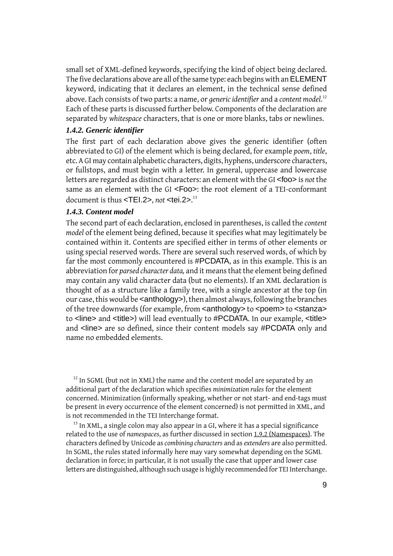small set of XML-defined keywords, specifying the kind of object being declared. The five declarations above are all of the same type: each begins with an ELEMENT keyword, indicating that it declares an element, in the technical sense defined above. Each consists of two parts: a name, or *generic identifier* and a *content model*. 12 Each of these parts is discussed further below. Components of the declaration are separated by *whitespace* characters, that is one or more blanks, tabs or newlines.

### *1.4.2. Generic identifier*

The first part of each declaration above gives the generic identifier (often abbreviated to GI) of the element which is being declared, for example *poem*, *title*, etc. A GI may contain alphabetic characters, digits, hyphens, underscore characters, or fullstops, and must begin with a letter. In general, uppercase and lowercase letters are regarded as distinct characters: an element with the GI <foo> is *not* the same as an element with the GI <F00>: the root element of a TEI-conformant document is thus <TEI.2>, *not* <tei.2>. 13

#### *1.4.3. Content model*

The second part of each declaration, enclosed in parentheses, is called the *content model* of the element being defined, because it specifies what may legitimately be contained within it. Contents are specified either in terms of other elements or using special reserved words. There are several such reserved words, of which by far the most commonly encountered is #PCDATA, as in this example. This is an abbreviation for *parsed character data,* and it means that the element being defined may contain any valid character data (but no elements). If an XML declaration is thought of as a structure like a family tree, with a single ancestor at the top (in our case, this would be <anthology>), then almost always, following the branches of the tree downwards (for example, from <anthology> to <poem> to <stanza> to <line> and <title>) will lead eventually to #PCDATA. In our example, <title> and <line> are so defined, since their content models say #PCDATA only and name no embedded elements.

<sup>12</sup> In SGML (but not in XML) the name and the content model are separated by an additional part of the declaration which specifies *minimization rules* for the element concerned. Minimization (informally speaking, whether or not start- and end-tags must be present in every occurrence of the element concerned) is not permitted in XML, and is not recommended in the TEI Interchange format.

 $13$  In XML, a single colon may also appear in a GI, where it has a special significance related to the use of *namespaces*, as further discussed in section [1.9.2 \(Namespaces\).](#page-23-0) The characters defined by Unicode as *combining characters* and as *extenders* are also permitted. In SGML, the rules stated informally here may vary somewhat depending on the SGML declaration in force; in particular, it is not usually the case that upper and lower case letters are distinguished, although such usage is highly recommended for TEI Interchange.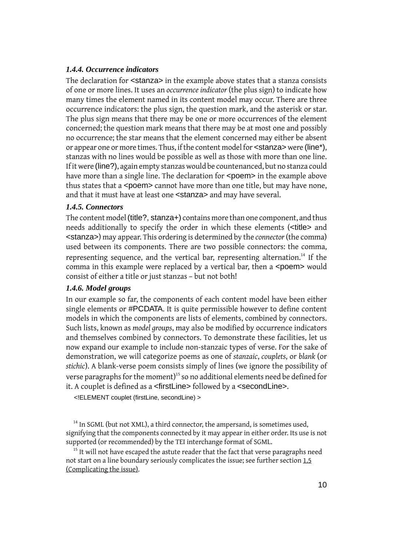### *1.4.4. Occurrence indicators*

The declaration for <stanza> in the example above states that a stanza consists of one or more lines. It uses an *occurrence indicator* (the plus sign) to indicate how many times the element named in its content model may occur. There are three occurrence indicators: the plus sign, the question mark, and the asterisk or star. The plus sign means that there may be one or more occurrences of the element concerned; the question mark means that there may be at most one and possibly no occurrence; the star means that the element concerned may either be absent or appear one or more times. Thus, if the content model for <stanza> were (line\*), stanzas with no lines would be possible as well as those with more than one line. If it were (line?), again empty stanzas would be countenanced, but no stanza could have more than a single line. The declaration for <poem> in the example above thus states that a <poem> cannot have more than one title, but may have none, and that it must have at least one <stanza> and may have several.

### *1.4.5. Connectors*

The content model (title?, stanza+) contains more than one component, and thus needs additionally to specify the order in which these elements (<title> and <stanza>) may appear. This ordering is determined by the *connector* (the comma) used between its components. There are two possible connectors: the comma, representing sequence, and the vertical bar, representing alternation.<sup>14</sup> If the comma in this example were replaced by a vertical bar, then a <poem> would consist of either a title or just stanzas – but not both!

### *1.4.6. Model groups*

In our example so far, the components of each content model have been either single elements or #PCDATA. It is quite permissible however to define content models in which the components are lists of elements, combined by connectors. Such lists, known as *model groups*, may also be modified by occurrence indicators and themselves combined by connectors. To demonstrate these facilities, let us now expand our example to include non-stanzaic types of verse. For the sake of demonstration, we will categorize poems as one of *stanzaic*, *couplets*, or *blank* (or *stichic*). A blank-verse poem consists simply of lines (we ignore the possibility of verse paragraphs for the moment)<sup>15</sup> so no additional elements need be defined for it. A couplet is defined as a <firstLine> followed by a <secondLine>.

<!ELEMENT couplet (firstLine, secondLine) >

 $14$  In SGML (but not XML), a third connector, the ampersand, is sometimes used, signifying that the components connected by it may appear in either order. Its use is not supported (or recommended) by the TEI interchange format of SGML.

 $15$  It will not have escaped the astute reader that the fact that verse paragraphs need not start on a line boundary seriously complicates the issue; see further section [1.5](#page-11-0) [\(Complicating the issue\)](#page-11-0).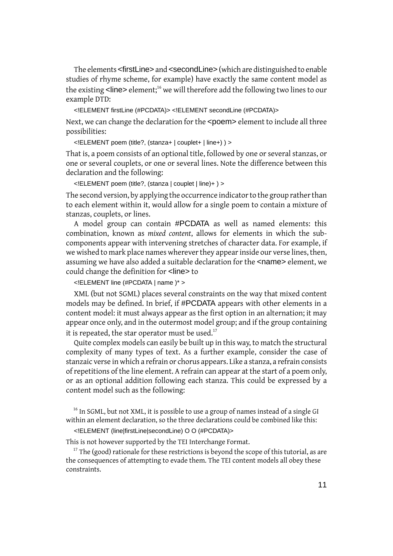The elements <firstLine> and <secondLine> (which are distinguished to enable studies of rhyme scheme, for example) have exactly the same content model as the existing <line> element;<sup>16</sup> we will therefore add the following two lines to our example DTD:

<!ELEMENT firstLine (#PCDATA)> <!ELEMENT secondLine (#PCDATA)>

Next, we can change the declaration for the <poem> element to include all three possibilities:

<!ELEMENT poem (title?, (stanza+ | couplet+ | line+) ) >

That is, a poem consists of an optional title, followed by one or several stanzas, or one or several couplets, or one or several lines. Note the difference between this declaration and the following:

<!ELEMENT poem (title?, (stanza | couplet | line)+ ) >

The second version, by applying the occurrence indicator to the group rather than to each element within it, would allow for a single poem to contain a mixture of stanzas, couplets, or lines.

A model group can contain #PCDATA as well as named elements: this combination, known as *mixed content*, allows for elements in which the subcomponents appear with intervening stretches of character data. For example, if we wished to mark place names wherever they appear inside our verse lines, then, assuming we have also added a suitable declaration for the <name> element, we could change the definition for <line> to

<!ELEMENT line (#PCDATA | name )\* >

XML (but not SGML) places several constraints on the way that mixed content models may be defined. In brief, if #PCDATA appears with other elements in a content model: it must always appear as the first option in an alternation; it may appear once only, and in the outermost model group; and if the group containing it is repeated, the star operator must be used. $17$ 

Quite complex models can easily be built up in this way, to match the structural complexity of many types of text. As a further example, consider the case of stanzaic verse in which a refrain or chorus appears. Like a stanza, a refrain consists of repetitions of the line element. A refrain can appear at the start of a poem only, or as an optional addition following each stanza. This could be expressed by a content model such as the following:

<sup>16</sup> In SGML, but not XML, it is possible to use a group of names instead of a single GI within an element declaration, so the three declarations could be combined like this:

<!ELEMENT (line|firstLine|secondLine) O O (#PCDATA)>

This is not however supported by the TEI Interchange Format.

 $17$  The (good) rationale for these restrictions is bevond the scope of this tutorial, as are the consequences of attempting to evade them. The TEI content models all obey these constraints.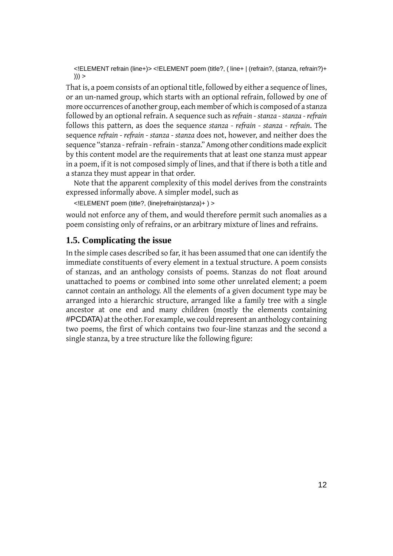<!ELEMENT refrain (line+)> <!ELEMENT poem (title?, ( line+ | (refrain?, (stanza, refrain?)+  $))$  >

That is, a poem consists of an optional title, followed by either a sequence of lines, or an un-named group, which starts with an optional refrain, followed by one of more occurrences of another group, each member of which is composed of a stanza followed by an optional refrain. A sequence such as *refrain - stanza - stanza - refrain* follows this pattern, as does the sequence *stanza - refrain - stanza - refrain*. The sequence *refrain - refrain - stanza - stanza* does not, however, and neither does the sequence "stanza - refrain - refrain - stanza." Among other conditions made explicit by this content model are the requirements that at least one stanza must appear in a poem, if it is not composed simply of lines, and that if there is both a title and a stanza they must appear in that order.

Note that the apparent complexity of this model derives from the constraints expressed informally above. A simpler model, such as

<!ELEMENT poem (title?, (line|refrain|stanza)+ ) >

<span id="page-11-0"></span>would not enforce any of them, and would therefore permit such anomalies as a poem consisting only of refrains, or an arbitrary mixture of lines and refrains.

# **1.5. Complicating the issue**

In the simple cases described so far, it has been assumed that one can identify the immediate constituents of every element in a textual structure. A poem consists of stanzas, and an anthology consists of poems. Stanzas do not float around unattached to poems or combined into some other unrelated element; a poem cannot contain an anthology. All the elements of a given document type may be arranged into a hierarchic structure, arranged like a family tree with a single ancestor at one end and many children (mostly the elements containing #PCDATA) at the other. For example, we could represent an anthology containing two poems, the first of which contains two four-line stanzas and the second a single stanza, by a tree structure like the following figure: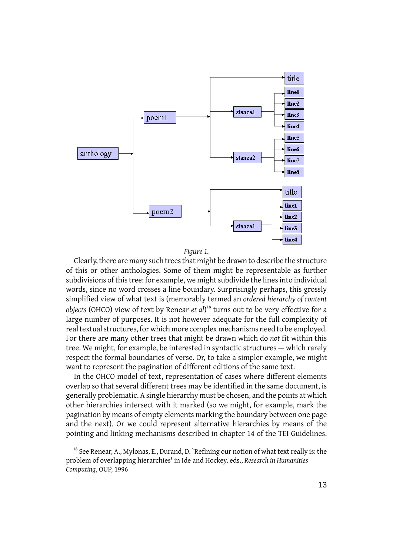

#### *Figure 1.*

Clearly, there are many such trees that might be drawn to describe the structure of this or other anthologies. Some of them might be representable as further subdivisions of this tree: for example, we might subdivide the lines into individual words, since no word crosses a line boundary. Surprisingly perhaps, this grossly simplified view of what text is (memorably termed an *ordered hierarchy of content objects* (OHCO) view of text by Renear *et al*) <sup>18</sup> turns out to be very effective for a large number of purposes. It is not however adequate for the full complexity of real textual structures, for which more complex mechanisms need to be employed. For there are many other trees that might be drawn which do *not* fit within this tree. We might, for example, be interested in syntactic structures — which rarely respect the formal boundaries of verse. Or, to take a simpler example, we might want to represent the pagination of different editions of the same text.

In the OHCO model of text, representation of cases where different elements overlap so that several different trees may be identified in the same document, is generally problematic. A single hierarchy must be chosen, and the points at which other hierarchies intersect with it marked (so we might, for example, mark the pagination by means of empty elements marking the boundary between one page and the next). Or we could represent alternative hierarchies by means of the pointing and linking mechanisms described in chapter 14 of the TEI Guidelines.

 $18$  See Renear, A., Mylonas, E., Durand, D. `Refining our notion of what text really is: the problem of overlapping hierarchies' in Ide and Hockey, eds., *Research in Humanities Computing*, OUP, 1996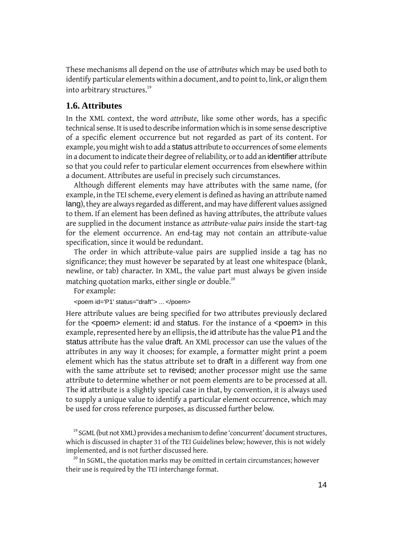These mechanisms all depend on the use of *attributes* which may be used both to identify particular elements within a document, and to point to, link, or align them into arbitrary structures.<sup>19</sup>

# **1.6. Attributes**

In the XML context, the word *attribute*, like some other words, has a specific technical sense. It is used to describe information which is in some sense descriptive of a specific element occurrence but not regarded as part of its content. For example, you might wish to add a status attribute to occurrences of some elements in a document to indicate their degree of reliability, or to add an identifier attribute so that you could refer to particular element occurrences from elsewhere within a document. Attributes are useful in precisely such circumstances.

Although different elements may have attributes with the same name, (for example, in the TEI scheme, every element is defined as having an attribute named lang), they are always regarded as different, and may have different values assigned to them. If an element has been defined as having attributes, the attribute values are supplied in the document instance as *attribute-value pairs* inside the start-tag for the element occurrence. An end-tag may not contain an attribute-value specification, since it would be redundant.

The order in which attribute-value pairs are supplied inside a tag has no significance; they must however be separated by at least one whitespace (blank, newline, or tab) character. In XML, the value part must always be given inside matching quotation marks, either single or double.<sup>20</sup>

For example:

<poem id='P1' status="draft"> ... </poem>

Here attribute values are being specified for two attributes previously declared for the <poem> element: id and status. For the instance of a <poem> in this example, represented here by an ellipsis, the id attribute has the value P1 and the status attribute has the value draft. An XML processor can use the values of the attributes in any way it chooses; for example, a formatter might print a poem element which has the status attribute set to draft in a different way from one with the same attribute set to revised; another processor might use the same attribute to determine whether or not poem elements are to be processed at all. The id attribute is a slightly special case in that, by convention, it is always used to supply a unique value to identify a particular element occurrence, which may be used for cross reference purposes, as discussed further below.

 $19$  SGML (but not XML) provides a mechanism to define 'concurrent' document structures, which is discussed in chapter 31 of the TEI Guidelines below; however, this is not widely implemented, and is not further discussed here.

 $20$  In SGML, the quotation marks may be omitted in certain circumstances; however their use is required by the TEI interchange format.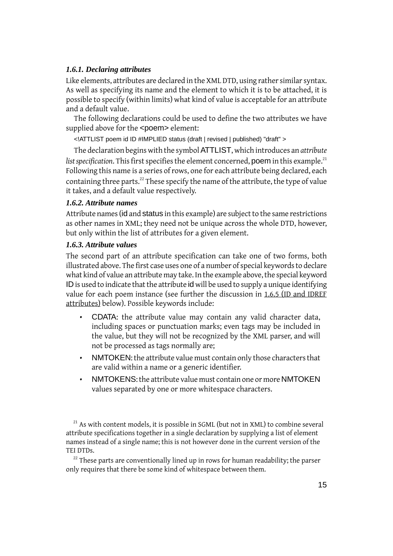### *1.6.1. Declaring attributes*

Like elements, attributes are declared in the XML DTD, using rather similar syntax. As well as specifying its name and the element to which it is to be attached, it is possible to specify (within limits) what kind of value is acceptable for an attribute and a default value.

The following declarations could be used to define the two attributes we have supplied above for the <poem> element:

<!ATTLIST poem id ID #IMPLIED status (draft | revised | published) "draft" >

The declaration begins with the symbol ATTLIST, which introduces an *attribute list specification*. This first specifies the element concerned, poem in this example.<sup>21</sup> Following this name is a series of rows, one for each attribute being declared, each containing three parts.<sup>22</sup> These specify the name of the attribute, the type of value it takes, and a default value respectively.

### *1.6.2. Attribute names*

Attribute names (id and status in this example) are subject to the same restrictions as other names in XML; they need not be unique across the whole DTD, however, but only within the list of attributes for a given element.

### *1.6.3. Attribute values*

The second part of an attribute specification can take one of two forms, both illustrated above. The first case uses one of a number of special keywords to declare what kind of value an attribute may take. In the example above, the special keyword ID is used to indicate that the attribute id will be used to supply a unique identifying value for each poem instance (see further the discussion in [1.6.5 \(ID and IDREF](#page-16-0) [attributes\)](#page-16-0) below). Possible keywords include:

- CDATA: the attribute value may contain any valid character data, including spaces or punctuation marks; even tags may be included in the value, but they will not be recognized by the XML parser, and will not be processed as tags normally are;
- NMTOKEN: the attribute value must contain only those characters that are valid within a name or a generic identifier.
- NMTOKENS: the attribute value must contain one or more NMTOKEN values separated by one or more whitespace characters.

 $21$  As with content models, it is possible in SGML (but not in XML) to combine several attribute specifications together in a single declaration by supplying a list of element names instead of a single name; this is not however done in the current version of the TEI DTDs.

 $22$  These parts are conventionally lined up in rows for human readability; the parser only requires that there be some kind of whitespace between them.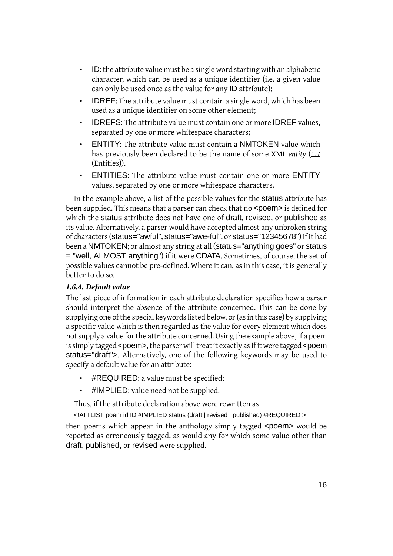- ID: the attribute value must be a single word starting with an alphabetic character, which can be used as a unique identifier (i.e. a given value can only be used once as the value for any ID attribute);
- IDREF: The attribute value must contain a single word, which has been used as a unique identifier on some other element;
- IDREFS: The attribute value must contain one or more IDREF values, separated by one or more whitespace characters;
- ENTITY: The attribute value must contain a NMTOKEN value which has previously been declared to be the name of some XML *entity* [\(1.7](#page-17-0) [\(Entities\)](#page-17-0)).
- ENTITIES: The attribute value must contain one or more ENTITY values, separated by one or more whitespace characters.

In the example above, a list of the possible values for the status attribute has been supplied. This means that a parser can check that no <poem> is defined for which the status attribute does not have one of draft, revised, or published as its value. Alternatively, a parser would have accepted almost any unbroken string of characters (status="awful", status="awe-ful", or status="12345678") if it had been a NMTOKEN; or almost any string at all (status="anything goes" or status = "well, ALMOST anything") if it were CDATA. Sometimes, of course, the set of possible values cannot be pre-defined. Where it can, as in this case, it is generally better to do so.

# *1.6.4. Default value*

The last piece of information in each attribute declaration specifies how a parser should interpret the absence of the attribute concerned. This can be done by supplying one of the special keywords listed below, or (as in this case) by supplying a specific value which is then regarded as the value for every element which does not supply a value for the attribute concerned. Using the example above, if a poem is simply tagged <poem>, the parser will treat it exactly as if it were tagged <poem status="draft">. Alternatively, one of the following keywords may be used to specify a default value for an attribute:

- #REQUIRED: a value must be specified;
- #IMPLIED: value need not be supplied.

Thus, if the attribute declaration above were rewritten as

<!ATTLIST poem id ID #IMPLIED status (draft | revised | published) #REQUIRED >

then poems which appear in the anthology simply tagged <poem> would be reported as erroneously tagged, as would any for which some value other than draft, published, or revised were supplied.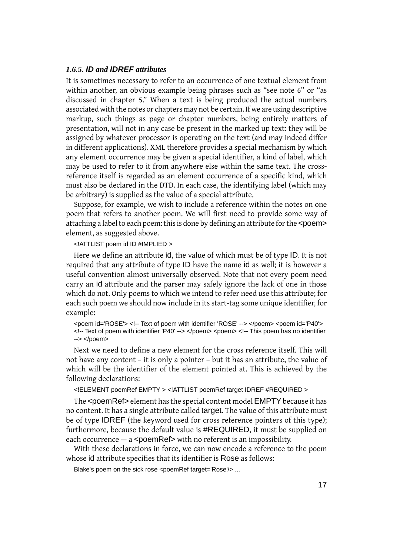### <span id="page-16-0"></span>*1.6.5. ID and IDREF attributes*

It is sometimes necessary to refer to an occurrence of one textual element from within another, an obvious example being phrases such as "see note 6" or "as discussed in chapter 5." When a text is being produced the actual numbers associated with the notes or chapters may not be certain. If we are using descriptive markup, such things as page or chapter numbers, being entirely matters of presentation, will not in any case be present in the marked up text: they will be assigned by whatever processor is operating on the text (and may indeed differ in different applications). XML therefore provides a special mechanism by which any element occurrence may be given a special identifier, a kind of label, which may be used to refer to it from anywhere else within the same text. The crossreference itself is regarded as an element occurrence of a specific kind, which must also be declared in the DTD. In each case, the identifying label (which may be arbitrary) is supplied as the value of a special attribute.

Suppose, for example, we wish to include a reference within the notes on one poem that refers to another poem. We will first need to provide some way of attaching a label to each poem: this is done by defining an attribute for the <poem> element, as suggested above.

<!ATTLIST poem id ID #IMPLIED >

Here we define an attribute id, the value of which must be of type ID. It is not required that any attribute of type ID have the name id as well; it is however a useful convention almost universally observed. Note that not every poem need carry an id attribute and the parser may safely ignore the lack of one in those which do not. Only poems to which we intend to refer need use this attribute; for each such poem we should now include in its start-tag some unique identifier, for example:

<poem id='ROSE'> <!-- Text of poem with identifier 'ROSE' --> </poem> <poem id='P40'> <!-- Text of poem with identifier 'P40' --> </poem> <poem> <!-- This poem has no identifier --> </poem>

Next we need to define a new element for the cross reference itself. This will not have any content – it is only a pointer – but it has an attribute, the value of which will be the identifier of the element pointed at. This is achieved by the following declarations:

<!ELEMENT poemRef EMPTY > <!ATTLIST poemRef target IDREF #REQUIRED >

The <poemRef> element has the special content model EMPTY because it has no content. It has a single attribute called target. The value of this attribute must be of type IDREF (the keyword used for cross reference pointers of this type); furthermore, because the default value is #REQUIRED, it must be supplied on each occurrence  $-$  a  $\epsilon$  poemRef> with no referent is an impossibility.

With these declarations in force, we can now encode a reference to the poem whose id attribute specifies that its identifier is Rose as follows:

Blake's poem on the sick rose <poemRef target='Rose'/> ...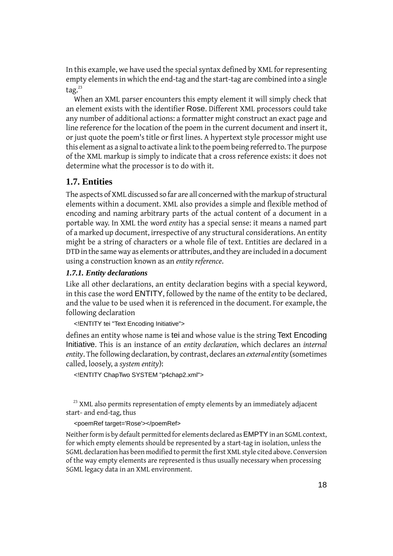In this example, we have used the special syntax defined by XML for representing empty elements in which the end-tag and the start-tag are combined into a single tag. $^{23}$ 

When an XML parser encounters this empty element it will simply check that an element exists with the identifier Rose. Different XML processors could take any number of additional actions: a formatter might construct an exact page and line reference for the location of the poem in the current document and insert it, or just quote the poem's title or first lines. A hypertext style processor might use this element as a signal to activate a link to the poem being referred to. The purpose of the XML markup is simply to indicate that a cross reference exists: it does not determine what the processor is to do with it.

# <span id="page-17-0"></span>**1.7. Entities**

The aspects of XML discussed so far are all concerned with the markup of structural elements within a document. XML also provides a simple and flexible method of encoding and naming arbitrary parts of the actual content of a document in a portable way. In XML the word *entity* has a special sense: it means a named part of a marked up document, irrespective of any structural considerations. An entity might be a string of characters or a whole file of text. Entities are declared in a DTD in the same way as elements or attributes, and they are included in a document using a construction known as an *entity reference*.

### <span id="page-17-1"></span>*1.7.1. Entity declarations*

Like all other declarations, an entity declaration begins with a special keyword, in this case the word ENTITY, followed by the name of the entity to be declared, and the value to be used when it is referenced in the document. For example, the following declaration

<!ENTITY tei "Text Encoding Initiative">

defines an entity whose name is tei and whose value is the string Text Encoding Initiative. This is an instance of an *entity declaration*, which declares an *internal entity*. The following declaration, by contrast, declares an *external entity* (sometimes called, loosely, a *system entity*):

<!ENTITY ChapTwo SYSTEM "p4chap2.xml">

 $23$  XML also permits representation of empty elements by an immediately adjacent start- and end-tag, thus

<poemRef target='Rose'></poemRef>

Neither form is by default permitted for elements declared as EMPTY in an SGML context, for which empty elements should be represented by a start-tag in isolation, unless the SGML declaration has been modified to permit the first XML style cited above. Conversion of the way empty elements are represented is thus usually necessary when processing SGML legacy data in an XML environment.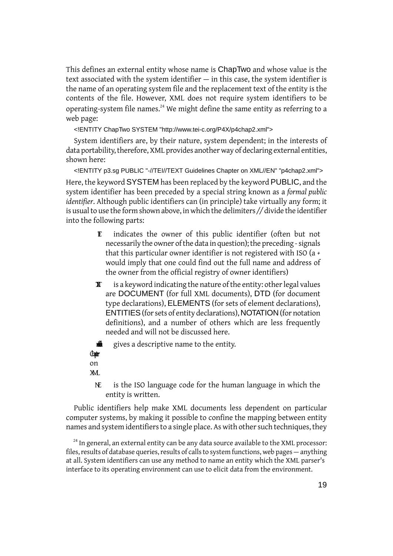This defines an external entity whose name is ChapTwo and whose value is the text associated with the system identifier — in this case, the system identifier is the name of an operating system file and the replacement text of the entity is the contents of the file. However, XML does not require system identifiers to be operating-system file names.<sup>24</sup> We might define the same entity as referring to a web page:

<!ENTITY ChapTwo SYSTEM "http://www.tei-c.org/P4X/p4chap2.xml">

System identifiers are, by their nature, system dependent; in the interests of data portability, therefore, XML provides another way of declaring external entities, shown here:

<!ENTITY p3.sg PUBLIC "-//TEI//TEXT Guidelines Chapter on XML//EN" "p4chap2.xml"> Here, the keyword SYSTEM has been replaced by the keyword PUBLIC, and the system identifier has been preceded by a special string known as a *formal public identifier*. Although public identifiers can (in principle) take virtually any form; it is usual to use the form shown above, in which the delimiters *//* divide the identifier into the following parts:

- **E** indicates the owner of this public identifier (often but not necessarily the owner of the data in question); the preceding *-*signals that this particular owner identifier is not registered with ISO (a *+* would imply that one could find out the full name and address of the owner from the official registry of owner identifiers)
- $\mathbf{x}$  is a keyword indicating the nature of the entity: other legal values are DOCUMENT (for full XML documents), DTD (for document type declarations), ELEMENTS (for sets of element declarations), ENTITIES(for sets of entity declarations), NOTATION (for notation definitions), and a number of others which are less frequently needed and will not be discussed here.

Guidelines **Chapter** gives a descriptive name to the entity. on XML

 $N<sub>E</sub>$  is the ISO language code for the human language in which the entity is written.

Public identifiers help make XML documents less dependent on particular computer systems, by making it possible to confine the mapping between entity names and system identifiers to a single place. As with other such techniques, they

 $24$  In general, an external entity can be any data source available to the XML processor: files, results of database queries, results of calls to system functions, web pages — anything at all. System identifiers can use any method to name an entity which the XML parser's interface to its operating environment can use to elicit data from the environment.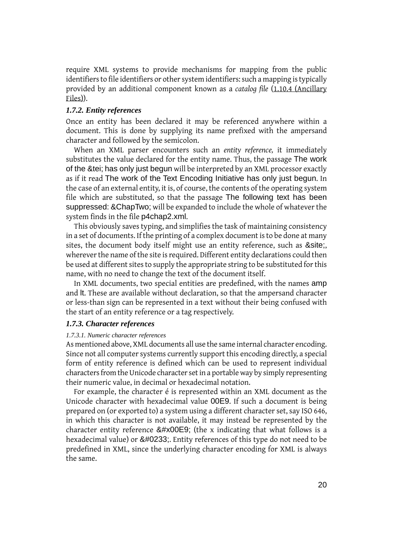require XML systems to provide mechanisms for mapping from the public identifiers to file identifiers or other system identifiers: such a mapping is typically provided by an additional component known as a *catalog file* [\(1.10.4 \(Ancillary](#page-27-0) [Files\)](#page-27-0)).

### <span id="page-19-0"></span>*1.7.2. Entity references*

Once an entity has been declared it may be referenced anywhere within a document. This is done by supplying its name prefixed with the ampersand character and followed by the semicolon.

When an XML parser encounters such an *entity reference,* it immediately substitutes the value declared for the entity name. Thus, the passage The work of the &tei; has only just begun will be interpreted by an XML processor exactly as if it read The work of the Text Encoding Initiative has only just begun. In the case of an external entity, it is, of course, the contents of the operating system file which are substituted, so that the passage The following text has been suppressed: &ChapTwo; will be expanded to include the whole of whatever the system finds in the file p4chap2.xml.

This obviously saves typing, and simplifies the task of maintaining consistency in a set of documents. If the printing of a complex document is to be done at many sites, the document body itself might use an entity reference, such as &site;, wherever the name of the site is required. Different entity declarations could then be used at different sites to supply the appropriate string to be substituted for this name, with no need to change the text of the document itself.

<span id="page-19-1"></span>In XML documents, two special entities are predefined, with the names amp and lt. These are available without declaration, so that the ampersand character or less-than sign can be represented in a text without their being confused with the start of an entity reference or a tag respectively.

#### *1.7.3. Character references*

#### *1.7.3.1. Numeric character references*

As mentioned above, XML documents all use the same internal character encoding. Since not all computer systems currently support this encoding directly, a special form of entity reference is defined which can be used to represent individual characters from the Unicode character set in a portable way by simply representing their numeric value, in decimal or hexadecimal notation.

For example, the character é is represented within an XML document as the Unicode character with hexadecimal value 00E9. If such a document is being prepared on (or exported to) a system using a different character set, say ISO 646, in which this character is not available, it may instead be represented by the character entity reference  $&\#x00E9$ ; (the x indicating that what follows is a hexadecimal value) or é. Entity references of this type do not need to be predefined in XML, since the underlying character encoding for XML is always the same.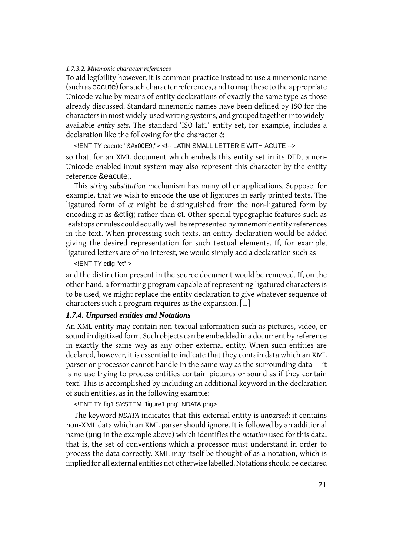#### *1.7.3.2. Mnemonic character references*

To aid legibility however, it is common practice instead to use a mnemonic name (such as eacute) for such character references, and to map these to the appropriate Unicode value by means of entity declarations of exactly the same type as those already discussed. Standard mnemonic names have been defined by ISO for the characters in most widely-used writing systems, and grouped together into widelyavailable *entity sets*. The standard 'ISO lat1' entity set, for example, includes a declaration like the following for the character é:

<! ENTITY eacute "&#x00E9;"> <!-- LATIN SMALL LETTER E WITH ACUTE -->

so that, for an XML document which embeds this entity set in its DTD, a non-Unicode enabled input system may also represent this character by the entity reference & eacute:

This *string substitution* mechanism has many other applications. Suppose, for example, that we wish to encode the use of ligatures in early printed texts. The ligatured form of *ct* might be distinguished from the non-ligatured form by encoding it as &ctlig; rather than ct. Other special typographic features such as leafstops or rules could equally well be represented by mnemonic entity references in the text. When processing such texts, an entity declaration would be added giving the desired representation for such textual elements. If, for example, ligatured letters are of no interest, we would simply add a declaration such as

<!ENTITY ctlig "ct" >

and the distinction present in the source document would be removed. If, on the other hand, a formatting program capable of representing ligatured characters is to be used, we might replace the entity declaration to give whatever sequence of characters such a program requires as the expansion. [...]

#### *1.7.4. Unparsed entities and Notations*

An XML entity may contain non-textual information such as pictures, video, or sound in digitized form. Such objects can be embedded in a document by reference in exactly the same way as any other external entity. When such entities are declared, however, it is essential to indicate that they contain data which an XML parser or processor cannot handle in the same way as the surrounding data — it is no use trying to process entities contain pictures or sound as if they contain text! This is accomplished by including an additional keyword in the declaration of such entities, as in the following example:

<!ENTITY fig1 SYSTEM "figure1.png" NDATA png>

The keyword *NDATA* indicates that this external entity is *unparsed*: it contains non-XML data which an XML parser should ignore. It is followed by an additional name (png in the example above) which identifies the *notation* used for this data, that is, the set of conventions which a processor must understand in order to process the data correctly. XML may itself be thought of as a notation, which is implied for all external entities not otherwise labelled. Notations should be declared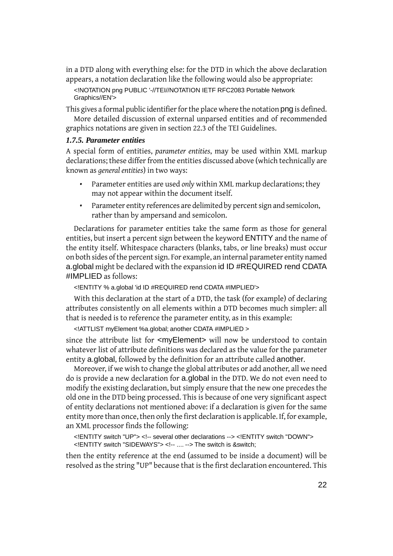in a DTD along with everything else: for the DTD in which the above declaration appears, a notation declaration like the following would also be appropriate:

<!NOTATION png PUBLIC '-//TEI//NOTATION IETF RFC2083 Portable Network Graphics//EN'>

This gives a formal public identifier for the place where the notation png is defined. More detailed discussion of external unparsed entities and of recommended graphics notations are given in section 22.3 of the TEI Guidelines.

#### <span id="page-21-0"></span>*1.7.5. Parameter entities*

A special form of entities, *parameter entities*, may be used within XML markup declarations; these differ from the entities discussed above (which technically are known as *general entities*) in two ways:

- Parameter entities are used *only* within XML markup declarations; they may not appear within the document itself.
- Parameter entity references are delimited by percent sign and semicolon, rather than by ampersand and semicolon.

Declarations for parameter entities take the same form as those for general entities, but insert a percent sign between the keyword ENTITY and the name of the entity itself. Whitespace characters (blanks, tabs, or line breaks) must occur on both sides of the percent sign. For example, an internal parameter entity named a.global might be declared with the expansion id ID #REQUIRED rend CDATA #IMPLIED as follows:

<!ENTITY % a.global 'id ID #REQUIRED rend CDATA #IMPLIED'>

With this declaration at the start of a DTD, the task (for example) of declaring attributes consistently on all elements within a DTD becomes much simpler: all that is needed is to reference the parameter entity, as in this example:

<!ATTLIST myElement %a.global; another CDATA #IMPLIED >

since the attribute list for <myElement> will now be understood to contain whatever list of attribute definitions was declared as the value for the parameter entity a.global, followed by the definition for an attribute called another.

Moreover, if we wish to change the global attributes or add another, all we need do is provide a new declaration for a.global in the DTD. We do not even need to modify the existing declaration, but simply ensure that the new one precedes the old one in the DTD being processed. This is because of one very significant aspect of entity declarations not mentioned above: if a declaration is given for the same entity more than once, then only the first declaration is applicable. If, for example, an XML processor finds the following:

<!ENTITY switch "UP"> <!-- several other declarations --> <!ENTITY switch "DOWN"> <!ENTITY switch "SIDEWAYS"> <!-- .... --> The switch is &switch;

then the entity reference at the end (assumed to be inside a document) will be resolved as the string "UP" because that is the first declaration encountered. This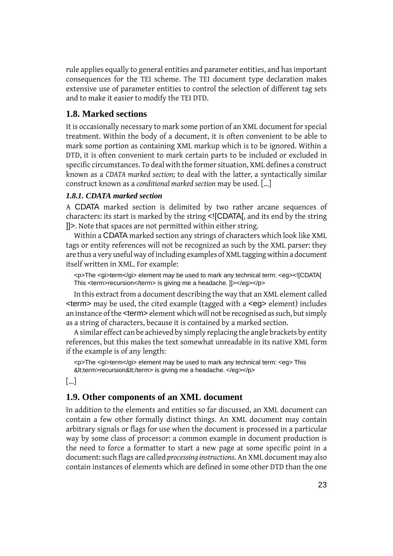rule applies equally to general entities and parameter entities, and has important consequences for the TEI scheme. The TEI document type declaration makes extensive use of parameter entities to control the selection of different tag sets and to make it easier to modify the TEI DTD.

# **1.8. Marked sections**

It is occasionally necessary to mark some portion of an XML document for special treatment. Within the body of a document, it is often convenient to be able to mark some portion as containing XML markup which is to be ignored. Within a DTD, it is often convenient to mark certain parts to be included or excluded in specific circumstances. To deal with the former situation, XML defines a construct known as a *CDATA marked section*; to deal with the latter, a syntactically similar construct known as a *conditional marked section* may be used. [...]

### *1.8.1. CDATA marked section*

A CDATA marked section is delimited by two rather arcane sequences of characters: its start is marked by the string <![CDATA[, and its end by the string ]]>. Note that spaces are not permitted within either string.

Within a CDATA marked section any strings of characters which look like XML tags or entity references will not be recognized as such by the XML parser: they are thus a very useful way of including examples of XML tagging within a document itself written in XML. For example:

<p>The <gi>term</gi> element may be used to mark any technical term: <eg><![CDATA[ This <term>recursion</term> is giving me a headache. ]]></eg></p>

In this extract from a document describing the way that an XML element called <term> may be used, the cited example (tagged with a <eg> element) includes an instance of the <term> element which will not be recognised as such, but simply as a string of characters, because it is contained by a marked section.

A similar effect can be achieved by simply replacing the angle brackets by entity references, but this makes the text somewhat unreadable in its native XML form if the example is of any length:

<p>The <gi>term</gi> element may be used to mark any technical term: <eg> This <term>recursion&lt;/term> is giving me a headache. </eg></p>

[...]

### **1.9. Other components of an XML document**

In addition to the elements and entities so far discussed, an XML document can contain a few other formally distinct things. An XML document may contain arbitrary signals or flags for use when the document is processed in a particular way by some class of processor: a common example in document production is the need to force a formatter to start a new page at some specific point in a document: such flags are called *processing instructions*. An XML document may also contain instances of elements which are defined in some other DTD than the one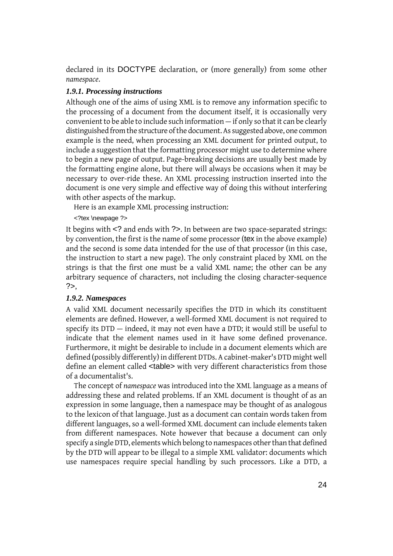declared in its DOCTYPE declaration, or (more generally) from some other *namespace*.

### <span id="page-23-1"></span>*1.9.1. Processing instructions*

Although one of the aims of using XML is to remove any information specific to the processing of a document from the document itself, it is occasionally very convenient to be able to include such information — if only so that it can be clearly distinguished from the structure of the document. As suggested above, one common example is the need, when processing an XML document for printed output, to include a suggestion that the formatting processor might use to determine where to begin a new page of output. Page-breaking decisions are usually best made by the formatting engine alone, but there will always be occasions when it may be necessary to over-ride these. An XML processing instruction inserted into the document is one very simple and effective way of doing this without interfering with other aspects of the markup.

Here is an example XML processing instruction:

<?tex \newpage ?>

It begins with <? and ends with ?>. In between are two space-separated strings: by convention, the first is the name of some processor (tex in the above example) and the second is some data intended for the use of that processor (in this case, the instruction to start a new page). The only constraint placed by XML on the strings is that the first one must be a valid XML name; the other can be any arbitrary sequence of characters, not including the closing character-sequence ?>,

### <span id="page-23-0"></span>*1.9.2. Namespaces*

A valid XML document necessarily specifies the DTD in which its constituent elements are defined. However, a well-formed XML document is not required to specify its DTD — indeed, it may not even have a DTD; it would still be useful to indicate that the element names used in it have some defined provenance. Furthermore, it might be desirable to include in a document elements which are defined (possibly differently) in different DTDs. A cabinet-maker's DTD might well define an element called <table> with very different characteristics from those of a documentalist's.

The concept of *namespace* was introduced into the XML language as a means of addressing these and related problems. If an XML document is thought of as an expression in some language, then a namespace may be thought of as analogous to the lexicon of that language. Just as a document can contain words taken from different languages, so a well-formed XML document can include elements taken from different namespaces. Note however that because a document can only specify a single DTD, elements which belong to namespaces other than that defined by the DTD will appear to be illegal to a simple XML validator: documents which use namespaces require special handling by such processors. Like a DTD, a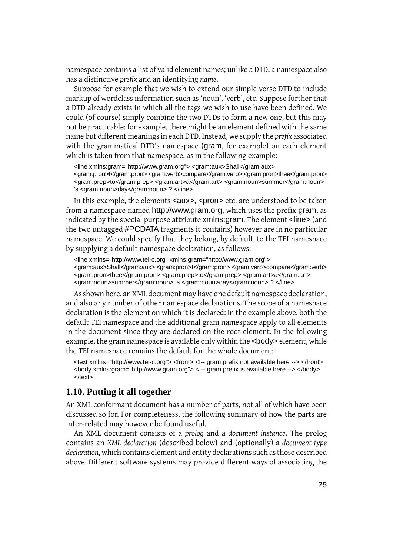namespace contains a list of valid element names; unlike a DTD, a namespace also has a distinctive *prefix* and an identifying *name*.

Suppose for example that we wish to extend our simple verse DTD to include markup of wordclass information such as 'noun', 'verb', etc. Suppose further that a DTD already exists in which all the tags we wish to use have been defined. We could (of course) simply combine the two DTDs to form a new one, but this may not be practicable: for example, there might be an element defined with the same name but different meanings in each DTD. Instead, we supply the *prefix* associated with the grammatical DTD's namespace (gram, for example) on each element which is taken from that namespace, as in the following example:

<line xmlns:gram="http://www.gram.org"> <gram:aux>Shall</gram:aux> <gram:pron>I</gram:pron> <gram:verb>compare</gram:verb> <gram:pron>thee</gram:pron> <gram:prep>to</gram:prep> <gram:art>a</gram:art> <gram:noun>summer</gram:noun> 's <gram:noun>day</gram:noun> ? </line>

In this example, the elements <aux>, <pron> etc. are understood to be taken from a namespace named http://www.gram.org, which uses the prefix gram, as indicated by the special purpose attribute xmlns: gram. The element <line> (and the two untagged #PCDATA fragments it contains) however are in no particular namespace. We could specify that they belong, by default, to the TEI namespace by supplying a default namespace declaration, as follows:

<line xmlns="http://www.tei-c.org" xmlns:gram="http://www.gram.org"> <gram:aux>Shall</gram:aux> <gram:pron>I</gram:pron> <gram:verb>compare</gram:verb> <gram:pron>thee</gram:pron> <gram:prep>to</gram:prep> <gram:art>a</gram:art> <gram:noun>summer</gram:noun> 's <gram:noun>day</gram:noun> ? </line>

As shown here, an XML document may have one default namespace declaration, and also any number of other namespace declarations. The scope of a namespace declaration is the element on which it is declared: in the example above, both the default TEI namespace and the additional gram namespace apply to all elements in the document since they are declared on the root element. In the following example, the gram namespace is available only within the <br/>body> element, while the TEI namespace remains the default for the whole document:

<text xmlns="http://www.tei-c.org"> <front> <!-- gram prefix not available here --> </front> <body xmlns:gram="http://www.gram.org"> <!-- gram prefix is available here --> </body> </text>

### **1.10. Putting it all together**

An XML conformant document has a number of parts, not all of which have been discussed so for. For completeness, the following summary of how the parts are inter-related may however be found useful.

An XML document consists of a *prolog* and a *document instance*. The prolog contains an *XML declaration* (described below) and (optionally) a *document type declaration*, which contains element and entity declarations such as those described above. Different software systems may provide different ways of associating the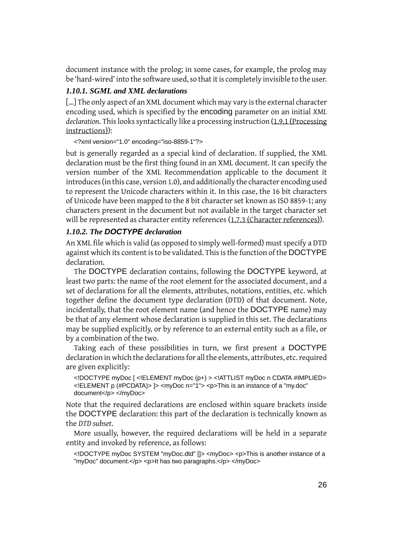document instance with the prolog; in some cases, for example, the prolog may be 'hard-wired' into the software used, so that it is completely invisible to the user.

### *1.10.1. SGML and XML declarations*

[...] The only aspect of an XML document which may vary is the external character encoding used, which is specified by the encoding parameter on an initial *XML declaration*. This looks syntactically like a processing instruction [\(1.9.1 \(Processing](#page-23-1) [instructions\)](#page-23-1)):

<?xml version="1.0" encoding="iso-8859-1"?>

but is generally regarded as a special kind of declaration. If supplied, the XML declaration must be the first thing found in an XML document. It can specify the version number of the XML Recommendation applicable to the document it introduces (in this case, version 1.0), and additionally the character encoding used to represent the Unicode characters within it. In this case, the 16 bit characters of Unicode have been mapped to the 8 bit character set known as ISO 8859-1; any characters present in the document but not available in the target character set will be represented as character entity references [\(1.7.3 \(Character references\)](#page-19-1)).

### *1.10.2. The DOCTYPE declaration*

An XML file which is valid (as opposed to simply well-formed) must specify a DTD against which its content is to be validated. This is the function of the DOCTYPE declaration.

The DOCTYPE declaration contains, following the DOCTYPE keyword, at least two parts: the name of the root element for the associated document, and a set of declarations for all the elements, attributes, notations, entities, etc. which together define the document type declaration (DTD) of that document. Note, incidentally, that the root element name (and hence the DOCTYPE name) may be that of any element whose declaration is supplied in this set. The declarations may be supplied explicitly, or by reference to an external entity such as a file, or by a combination of the two.

Taking each of these possibilities in turn, we first present a DOCTYPE declaration in which the declarations for all the elements, attributes, etc. required are given explicitly:

<!DOCTYPE myDoc [ <!ELEMENT myDoc (p+) > <!ATTLIST myDoc n CDATA #IMPLIED> <!ELEMENT p (#PCDATA)> ]> <myDoc n="1"> <p>This is an instance of a "my.doc" document</p> </myDoc>

Note that the required declarations are enclosed within square brackets inside the DOCTYPE declaration: this part of the declaration is technically known as the *DTD subset*.

More usually, however, the required declarations will be held in a separate entity and invoked by reference, as follows:

<!DOCTYPE myDoc SYSTEM "myDoc.dtd" []> <myDoc> <p>This is another instance of a "myDoc" document.</p> <p>It has two paragraphs.</p> </myDoc>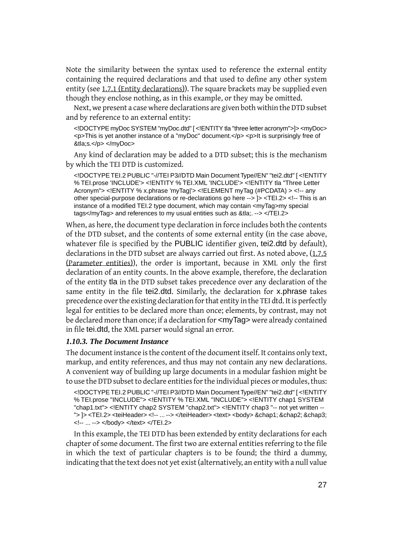Note the similarity between the syntax used to reference the external entity containing the required declarations and that used to define any other system entity (see [1.7.1 \(Entity declarations\)\)](#page-17-1). The square brackets may be supplied even though they enclose nothing, as in this example, or they may be omitted.

Next, we present a case where declarations are given both within the DTD subset and by reference to an external entity:

<!DOCTYPE myDoc SYSTEM "myDoc.dtd" [ <!ENTITY tla "three letter acronym">]> <myDoc> <p>This is yet another instance of a "myDoc" document.</p> <p>It is surprisingly free of &tla;s.</p> </myDoc>

Any kind of declaration may be added to a DTD subset; this is the mechanism by which the TEI DTD is customized.

<!DOCTYPE TEI.2 PUBLIC "-//TEI P3//DTD Main Document Type//EN" "tei2.dtd" [ <!ENTITY % TEI.prose 'INCLUDE'> <!ENTITY % TEI.XML 'INCLUDE'> <!ENTITY tla "Three Letter Acronym"> <!ENTITY % x.phrase 'myTag|'> <!ELEMENT myTag (#PCDATA) > <!-- any other special-purpose declarations or re-declarations go here --> ]> <TEI.2> <!-- This is an instance of a modified TEI.2 type document, which may contain <myTag>my special tags</myTag> and references to my usual entities such as &tla;. --> </TEI.2>

When, as here, the document type declaration in force includes both the contents of the DTD subset, and the contents of some external entity (in the case above, whatever file is specified by the PUBLIC identifier given, tei2.dtd by default), declarations in the DTD subset are always carried out first. As noted above, ([1.7.5](#page-21-0)) [\(Parameter entities\)](#page-21-0)), the order is important, because in XML only the first declaration of an entity counts. In the above example, therefore, the declaration of the entity tla in the DTD subset takes precedence over any declaration of the same entity in the file tei2.dtd. Similarly, the declaration for x.phrase takes precedence over the existing declaration for that entity in the TEI dtd. It is perfectly legal for entities to be declared more than once; elements, by contrast, may not be declared more than once; if a declaration for <myTag> were already contained in file tei.dtd, the XML parser would signal an error.

#### *1.10.3. The Document Instance*

The document instance is the content of the document itself. It contains only text, markup, and entity references, and thus may not contain any new declarations. A convenient way of building up large documents in a modular fashion might be to use the DTD subset to declare entities for the individual pieces or modules, thus:

<!DOCTYPE TEI.2 PUBLIC "-//TEI P3//DTD Main Document Type//EN" "tei2.dtd" [ <!ENTITY % TEI.prose "INCLUDE"> <!ENTITY % TEI.XML "INCLUDE"> <!ENTITY chap1 SYSTEM "chap1.txt"> <!ENTITY chap2 SYSTEM "chap2.txt"> <!ENTITY chap3 "-- not yet written -- "> ]> <TEI.2> <teiHeader> <!-- ... --> </teiHeader> <text> <body> &chap1; &chap2; &chap3; <!-- ... --> </body> </text> </TEI.2>

In this example, the TEI DTD has been extended by entity declarations for each chapter of some document. The first two are external entities referring to the file in which the text of particular chapters is to be found; the third a dummy, indicating that the text does not yet exist (alternatively, an entity with a null value